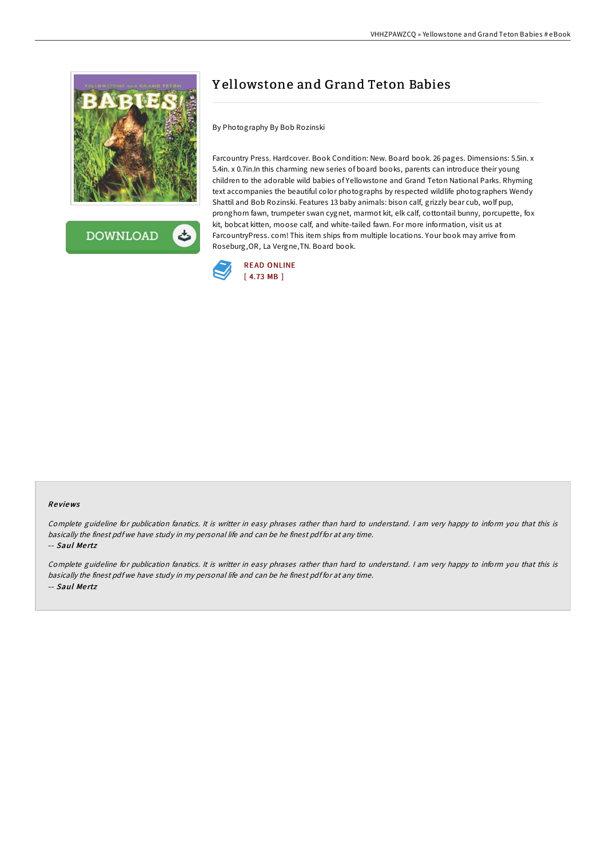

**DOWNLOAD** 

# Y ellowstone and Grand Teton Babies

By Photography By Bob Rozinski

Farcountry Press. Hardcover. Book Condition: New. Board book. 26 pages. Dimensions: 5.5in. x 5.4in. x 0.7in.In this charming new series of board books, parents can introduce their young children to the adorable wild babies of Yellowstone and Grand Teton National Parks. Rhyming text accompanies the beautiful color photographs by respected wildlife photographers Wendy Shattil and Bob Rozinski. Features 13 baby animals: bison calf, grizzly bear cub, wolf pup, pronghorn fawn, trumpeter swan cygnet, marmot kit, elk calf, cottontail bunny, porcupette, fox kit, bobcat kitten, moose calf, and white-tailed fawn. For more information, visit us at FarcountryPress. com! This item ships from multiple locations. Your book may arrive from Roseburg,OR, La Vergne,TN. Board book.



#### Re views

Complete guideline for publication fanatics. It is writter in easy phrases rather than hard to understand. <sup>I</sup> am very happy to inform you that this is basically the finest pdf we have study in my personal life and can be he finest pdf for at any time. -- Saul Mertz

Complete guideline for publication fanatics. It is writter in easy phrases rather than hard to understand. <sup>I</sup> am very happy to inform you that this is basically the finest pdf we have study in my personal life and can be he finest pdf for at any time. -- Saul Mertz